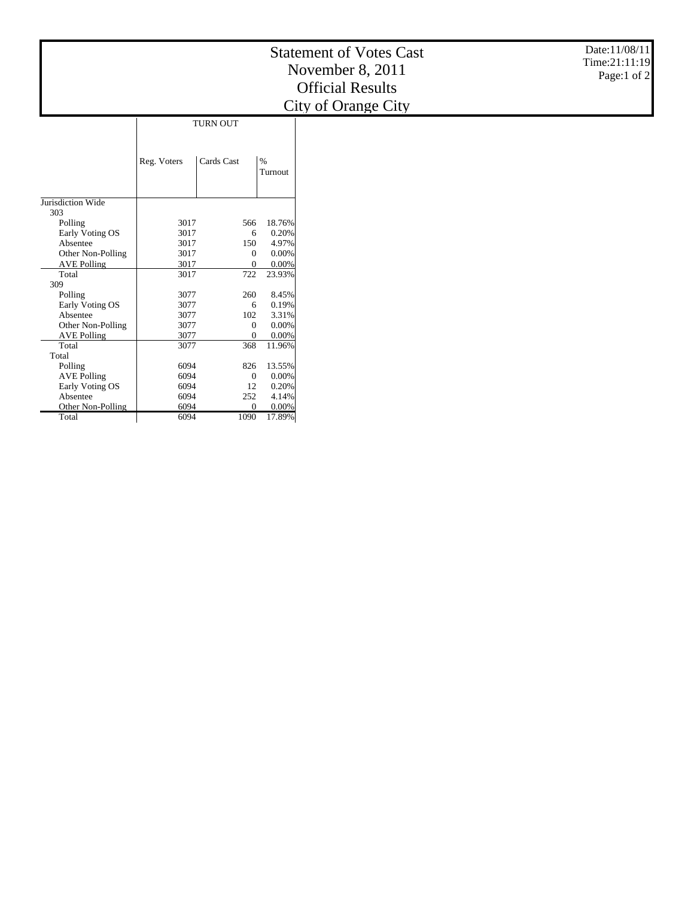|                             |              |                 |                 | Date:11/08/11<br><b>Statement of Votes Cast</b><br>Time:21:11:19<br>November 8, 2011<br>Page:1 of 2<br><b>Official Results</b><br>City of Orange City |
|-----------------------------|--------------|-----------------|-----------------|-------------------------------------------------------------------------------------------------------------------------------------------------------|
|                             |              | <b>TURN OUT</b> |                 |                                                                                                                                                       |
|                             | Reg. Voters  | Cards Cast      | $\%$<br>Turnout |                                                                                                                                                       |
| Jurisdiction Wide           |              |                 |                 |                                                                                                                                                       |
| 303                         |              |                 |                 |                                                                                                                                                       |
| Polling                     | 3017         | 566             | 18.76%          |                                                                                                                                                       |
| Early Voting OS             | 3017         | 6               | 0.20%           |                                                                                                                                                       |
| Absentee                    | 3017         | 150             | 4.97%           |                                                                                                                                                       |
| Other Non-Polling           | 3017         | $\theta$        | 0.00%           |                                                                                                                                                       |
| <b>AVE Polling</b>          | 3017         | $\mathbf{0}$    | 0.00%           |                                                                                                                                                       |
| Total                       | 3017         | 722             | 23.93%          |                                                                                                                                                       |
| 309                         |              |                 |                 |                                                                                                                                                       |
| Polling                     | 3077<br>3077 | 260             | 8.45%<br>0.19%  |                                                                                                                                                       |
| Early Voting OS<br>Absentee | 3077         | 6<br>102        | 3.31%           |                                                                                                                                                       |
| Other Non-Polling           | 3077         | $\theta$        | 0.00%           |                                                                                                                                                       |
| <b>AVE Polling</b>          | 3077         | $\mathbf{0}$    | 0.00%           |                                                                                                                                                       |
| Total                       | 3077         | 368             | 11.96%          |                                                                                                                                                       |
| Total                       |              |                 |                 |                                                                                                                                                       |
| Polling                     | 6094         | 826             | 13.55%          |                                                                                                                                                       |
| <b>AVE Polling</b>          | 6094         | $\mathbf{0}$    | 0.00%           |                                                                                                                                                       |
| Early Voting OS             | 6094         | 12              | 0.20%           |                                                                                                                                                       |
| Absentee                    | 6094         | 252             | 4.14%           |                                                                                                                                                       |

6094 0 0.00% 6094 1090 17.89%

Other Non-Polling

Total